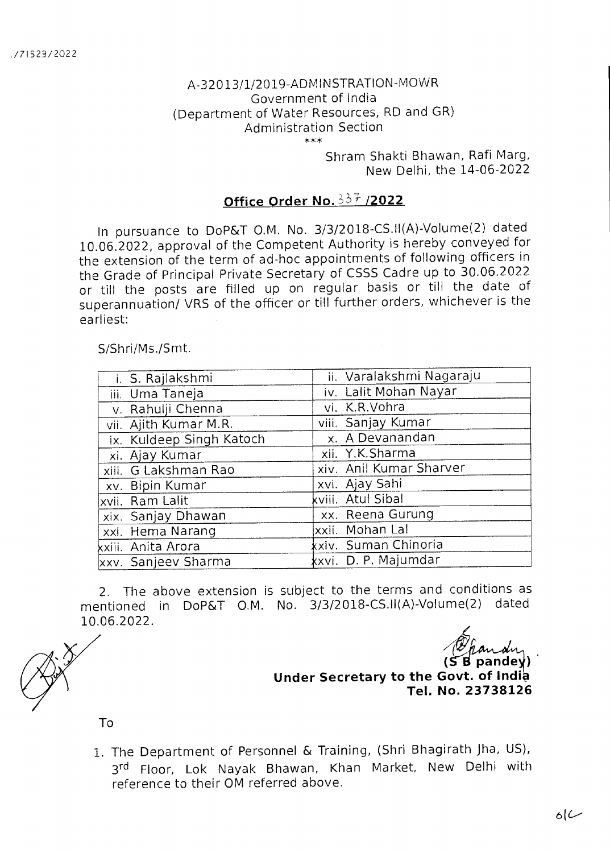## A-32013/1/2019-ADMINSTRATION-MOWR Government of India (Department of Water Resources, RD and GR) Administration Section \*\*\*

Shram Shakti Bhawan, Rafi Marg, New Delhi, the 14-06-2022

## **Office Order No. 337 /2022**

In pursuance to DoP&T O.M. No. 3/3/2018-CS.II(A)-Volume(2) dated 10.06.2022, approval of the Competent Authority is hereby conveyed for the extension of the term of ad-hoc appointments of following officers in the Grade of Principal Private Secretary of CSSS Cadre up to 30.06.2022 or till the posts are filled up on regular basis or till the date of superannuation/ VRS of the officer or till further orders, whichever is the earliest:

## S/Shri/Ms./Smt.

| i. S. Rajlakshmi         | ii. Varalakshmi Nagaraju |
|--------------------------|--------------------------|
| iii. Uma Taneja          | iv. Lalit Mohan Nayar    |
| v. Rahulji Chenna        | vi. K.R.Vohra            |
| vii. Ajith Kumar M.R.    | viii. Sanjay Kumar       |
| ix. Kuldeep Singh Katoch | x. A Devanandan          |
| xi. Ajay Kumar           | xii. Y.K.Sharma          |
| xiii. G Lakshman Rao     | xiv. Anil Kumar Sharver  |
| xv. Bipin Kumar          | xvi. Ajay Sahi           |
| xvii. Ram Lalit          | kviii. Atul Sibal        |
| xix. Sanjay Dhawan       | xx. Reena Gurung         |
| xxi. Hema Narang         | xxii. Mohan Lal          |
| xxiii. Anita Arora       | kxiv. Suman Chinoria     |
| xxv. Sanjeev Sharma      | kxvi. D. P. Majumdar     |

2. The above extension is subject to the terms and conditions as mentioned in DoP&T O.M. No. 3/3/2018-CS.II(A)-Volume(2) dated 10.06.2022.

**( pandey) Under Secretary to the Govt. of India Tel. No. 23738126** 

To

1. The Department of Personnel & Training, (Shri Bhagirath Jha, US), 3<sup>rd</sup> Floor, Lok Nayak Bhawan, Khan Market, New Delhi with reference to their OM referred above.